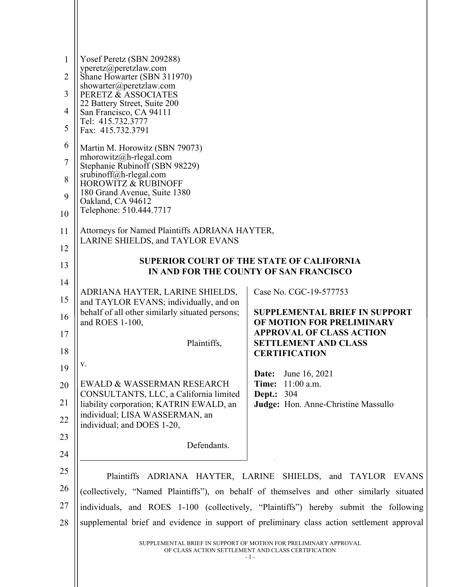| $\mathbf{1}$<br>$\overline{2}$ | Yosef Peretz (SBN 209288)<br>yperetz@peretzlaw.com<br>Shane Howarter (SBN 311970)          |                                                                                                                                 |  |
|--------------------------------|--------------------------------------------------------------------------------------------|---------------------------------------------------------------------------------------------------------------------------------|--|
| 3                              | showarter@peretzlaw.com<br>PERETZ & ASSOCIATES                                             |                                                                                                                                 |  |
|                                | 22 Battery Street, Suite 200                                                               |                                                                                                                                 |  |
| 4<br>5                         | San Francisco, CA 94111<br>Tel: 415.732.3777<br>Fax: 415.732.3791                          |                                                                                                                                 |  |
| 6                              | Martin M. Horowitz (SBN 79073)                                                             |                                                                                                                                 |  |
| 7                              | mhorowitz@h-rlegal.com<br>Stephanie Rubinoff (SBN 98229)<br>srubinoff@h-rlegal.com         |                                                                                                                                 |  |
| 8                              | <b>HOROWITZ &amp; RUBINOFF</b>                                                             |                                                                                                                                 |  |
| 9                              | 180 Grand Avenue, Suite 1380<br>Oakland, CA 94612                                          |                                                                                                                                 |  |
| 10                             | Telephone: 510.444.7717                                                                    |                                                                                                                                 |  |
| 11                             | Attorneys for Named Plaintiffs ADRIANA HAYTER,                                             |                                                                                                                                 |  |
| 12                             | LARINE SHIELDS, and TAYLOR EVANS                                                           |                                                                                                                                 |  |
| 13                             | <b>SUPERIOR COURT OF THE STATE OF CALIFORNIA</b>                                           |                                                                                                                                 |  |
| 14                             |                                                                                            | IN AND FOR THE COUNTY OF SAN FRANCISCO                                                                                          |  |
| 15                             | ADRIANA HAYTER, LARINE SHIELDS,<br>and TAYLOR EVANS; individually, and on                  | Case No. CGC-19-577753                                                                                                          |  |
| 16                             | behalf of all other similarly situated persons;<br>and ROES 1-100,                         | <b>SUPPLEMENTAL BRIEF IN SUPPORT</b><br>OF MOTION FOR PRELIMINARY                                                               |  |
| 17                             |                                                                                            | <b>APPROVAL OF CLASS ACTION</b>                                                                                                 |  |
| 18                             | Plaintiffs,                                                                                | <b>SETTLEMENT AND CLASS</b><br><b>CERTIFICATION</b>                                                                             |  |
| 19                             | V.                                                                                         | <b>Date:</b> June 16, 2021                                                                                                      |  |
| 20                             | <b>EWALD &amp; WASSERMAN RESEARCH</b>                                                      | Time:<br>$11:00$ a.m.                                                                                                           |  |
| 21                             | CONSULTANTS, LLC, a California limited<br>liability corporation; KATRIN EWALD, an          | Dept.:<br>304<br>Judge: Hon. Anne-Christine Massullo                                                                            |  |
| 22                             | individual; LISA WASSERMAN, an<br>individual; and DOES 1-20,                               |                                                                                                                                 |  |
| 23                             |                                                                                            |                                                                                                                                 |  |
| 24                             | Defendants.                                                                                |                                                                                                                                 |  |
| 25                             |                                                                                            | Plaintiffs ADRIANA HAYTER, LARINE SHIELDS, and TAYLOR EVANS                                                                     |  |
| 26                             | (collectively, "Named Plaintiffs"), on behalf of themselves and other similarly situated   |                                                                                                                                 |  |
| 27                             | individuals, and ROES 1-100 (collectively, "Plaintiffs") hereby submit the following       |                                                                                                                                 |  |
| 28                             | supplemental brief and evidence in support of preliminary class action settlement approval |                                                                                                                                 |  |
|                                |                                                                                            | SUPPLEMENTAL BRIEF IN SUPPORT OF MOTION FOR PRELIMINARY APPROVAL<br>OF CLASS ACTION SETTLEMENT AND CLASS CERTIFICATION<br>- 1 - |  |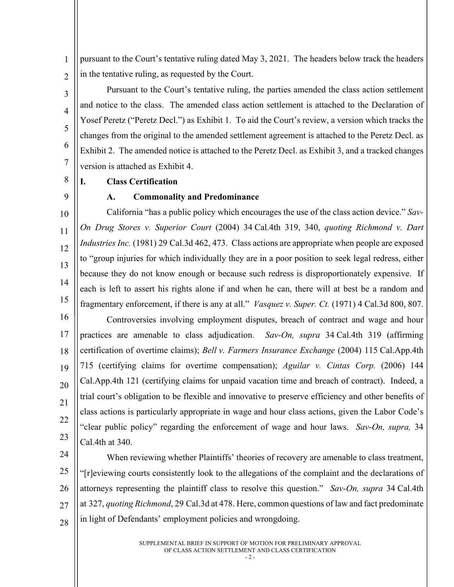1  $\overline{2}$ pursuant to the Court's tentative ruling dated May 3, 2021. The headers below track the headers in the tentative ruling, as requested by the Court.

Pursuant to the Court's tentative ruling, the parties amended the class action settlement and notice to the class. The amended class action settlement is attached to the Declaration of Yosef Peretz ("Peretz Decl.") as Exhibit 1. To aid the Court's review, a version which tracks the changes from the original to the amended settlement agreement is attached to the Peretz Decl. as Exhibit 2. The amended notice is attached to the Peretz Decl. as Exhibit 3, and a tracked changes version is attached as Exhibit 4.

8

3

4

5

6

7

# **I. Class Certification**

 $\overline{Q}$ 

## **A. Commonality and Predominance**

10 11 12 13 14 15 16 17 18 19 20 21 22 23 California "has a public policy which encourages the use of the class action device." *Sav-On Drug Stores v. Superior Court* (2004) 34 Cal.4th 319, 340, *quoting Richmond v. Dart Industries Inc.* (1981) 29 Cal.3d 462, 473. Class actions are appropriate when people are exposed to "group injuries for which individually they are in a poor position to seek legal redress, either because they do not know enough or because such redress is disproportionately expensive. If each is left to assert his rights alone if and when he can, there will at best be a random and fragmentary enforcement, if there is any at all." *Vasquez v. Super. Ct.* (1971) 4 Cal.3d 800, 807. Controversies involving employment disputes, breach of contract and wage and hour practices are amenable to class adjudication. *Sav-On, supra* 34 Cal.4th 319 (affirming certification of overtime claims); *Bell v. Farmers Insurance Exchange* (2004) 115 Cal.App.4th 715 (certifying claims for overtime compensation); *Aguilar v. Cintas Corp.* (2006) 144 Cal.App.4th 121 (certifying claims for unpaid vacation time and breach of contract). Indeed, a trial court's obligation to be flexible and innovative to preserve efficiency and other benefits of class actions is particularly appropriate in wage and hour class actions, given the Labor Code's "clear public policy" regarding the enforcement of wage and hour laws. *Sav-On, supra,* 34 Cal.4th at 340.

24 25 26 27 28 When reviewing whether Plaintiffs' theories of recovery are amenable to class treatment, "[r]eviewing courts consistently look to the allegations of the complaint and the declarations of attorneys representing the plaintiff class to resolve this question." *Sav-On, supra* 34 Cal.4th at 327, *quoting Richmond*, 29 Cal.3d at 478. Here, common questions of law and fact predominate in light of Defendants' employment policies and wrongdoing.

 $-2 -$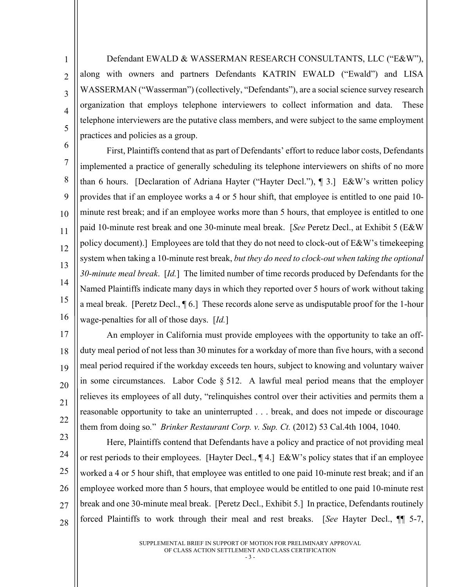Defendant EWALD & WASSERMAN RESEARCH CONSULTANTS, LLC ("E&W"), along with owners and partners Defendants KATRIN EWALD ("Ewald") and LISA WASSERMAN ("Wasserman") (collectively, "Defendants"), are a social science survey research organization that employs telephone interviewers to collect information and data. These telephone interviewers are the putative class members, and were subject to the same employment practices and policies as a group.

1

 $\overline{2}$ 

3

4

5

6 7 8 9 10 11 12 13 14 15 16 First, Plaintiffs contend that as part of Defendants' effort to reduce labor costs, Defendants implemented a practice of generally scheduling its telephone interviewers on shifts of no more than 6 hours. [Declaration of Adriana Hayter ("Hayter Decl."), ¶ 3.] E&W's written policy provides that if an employee works a 4 or 5 hour shift, that employee is entitled to one paid 10 minute rest break; and if an employee works more than 5 hours, that employee is entitled to one paid 10-minute rest break and one 30-minute meal break. [*See* Peretz Decl., at Exhibit 5 (E&W policy document).] Employees are told that they do not need to clock-out of E&W's timekeeping system when taking a 10-minute rest break, *but they do need to clock-out when taking the optional 30-minute meal break*. [*Id.*] The limited number of time records produced by Defendants for the Named Plaintiffs indicate many days in which they reported over 5 hours of work without taking a meal break. [Peretz Decl., ¶ 6.] These records alone serve as undisputable proof for the 1-hour wage-penalties for all of those days. [*Id.*]

17 18 19 20 21 22 An employer in California must provide employees with the opportunity to take an offduty meal period of not less than 30 minutes for a workday of more than five hours, with a second meal period required if the workday exceeds ten hours, subject to knowing and voluntary waiver in some circumstances. Labor Code § 512. A lawful meal period means that the employer relieves its employees of all duty, "relinquishes control over their activities and permits them a reasonable opportunity to take an uninterrupted . . . break, and does not impede or discourage them from doing so*.*" *Brinker Restaurant Corp. v. Sup. Ct.* (2012) 53 Cal.4th 1004, 1040.

23 24 25 26 27 28 Here, Plaintiffs contend that Defendants have a policy and practice of not providing meal or rest periods to their employees. [Hayter Decl., ¶ 4.] E&W's policy states that if an employee worked a 4 or 5 hour shift, that employee was entitled to one paid 10-minute rest break; and if an employee worked more than 5 hours, that employee would be entitled to one paid 10-minute rest break and one 30-minute meal break. [Peretz Decl., Exhibit 5.] In practice, Defendants routinely forced Plaintiffs to work through their meal and rest breaks. [*See* Hayter Decl., ¶¶ 5-7,

> SUPPLEMENTAL BRIEF IN SUPPORT OF MOTION FOR PRELIMINARY APPROVAL OF CLASS ACTION SETTLEMENT AND CLASS CERTIFICATION

- 3 -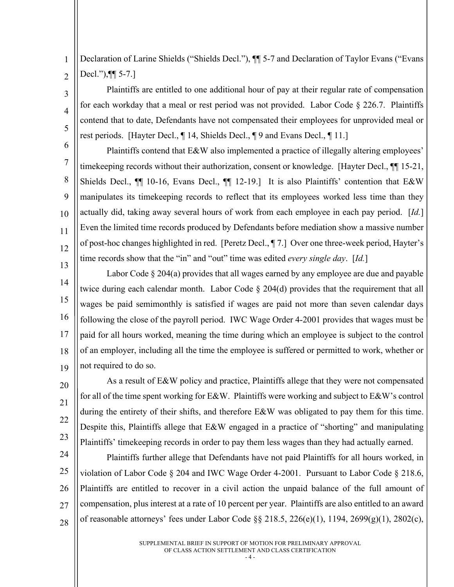1  $\overline{2}$ Declaration of Larine Shields ("Shields Decl."), ¶¶ 5-7 and Declaration of Taylor Evans ("Evans Decl."),¶¶ 5-7.]

Plaintiffs are entitled to one additional hour of pay at their regular rate of compensation for each workday that a meal or rest period was not provided. Labor Code § 226.7. Plaintiffs contend that to date, Defendants have not compensated their employees for unprovided meal or rest periods. [Hayter Decl., ¶ 14, Shields Decl., ¶ 9 and Evans Decl., ¶ 11.]

13 Plaintiffs contend that E&W also implemented a practice of illegally altering employees' timekeeping records without their authorization, consent or knowledge. [Hayter Decl., ¶¶ 15-21, Shields Decl., ¶¶ 10-16, Evans Decl., ¶¶ 12-19.] It is also Plaintiffs' contention that E&W manipulates its timekeeping records to reflect that its employees worked less time than they actually did, taking away several hours of work from each employee in each pay period. [*Id.*] Even the limited time records produced by Defendants before mediation show a massive number of post-hoc changes highlighted in red. [Peretz Decl., ¶ 7.] Over one three-week period, Hayter's time records show that the "in" and "out" time was edited *every single day*. [*Id.*]

14 15 16 17 18 19 Labor Code § 204(a) provides that all wages earned by any employee are due and payable twice during each calendar month. Labor Code § 204(d) provides that the requirement that all wages be paid semimonthly is satisfied if wages are paid not more than seven calendar days following the close of the payroll period. IWC Wage Order 4-2001 provides that wages must be paid for all hours worked, meaning the time during which an employee is subject to the control of an employer, including all the time the employee is suffered or permitted to work, whether or not required to do so.

20 23 As a result of E&W policy and practice, Plaintiffs allege that they were not compensated for all of the time spent working for E&W. Plaintiffs were working and subject to E&W's control during the entirety of their shifts, and therefore E&W was obligated to pay them for this time. Despite this, Plaintiffs allege that E&W engaged in a practice of "shorting" and manipulating Plaintiffs' timekeeping records in order to pay them less wages than they had actually earned.

25 26 27 28 Plaintiffs further allege that Defendants have not paid Plaintiffs for all hours worked, in violation of Labor Code § 204 and IWC Wage Order 4-2001. Pursuant to Labor Code § 218.6, Plaintiffs are entitled to recover in a civil action the unpaid balance of the full amount of compensation, plus interest at a rate of 10 percent per year. Plaintiffs are also entitled to an award of reasonable attorneys' fees under Labor Code §§ 218.5, 226(e)(1), 1194, 2699(g)(1), 2802(c),

> SUPPLEMENTAL BRIEF IN SUPPORT OF MOTION FOR PRELIMINARY APPROVAL OF CLASS ACTION SETTLEMENT AND CLASS CERTIFICATION  $-4-$

21

3

4

5

6

7

8

9

10

11

12

- 22
- 24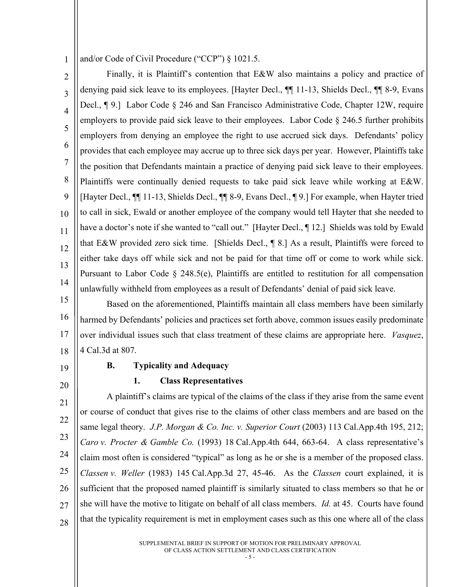1 and/or Code of Civil Procedure ("CCP") § 1021.5.

 $\mathfrak{D}$ 3 4 5 6 7 8 9 10 11 12 13 14 Finally, it is Plaintiff's contention that E&W also maintains a policy and practice of denying paid sick leave to its employees. [Hayter Decl., ¶¶ 11-13, Shields Decl., ¶¶ 8-9, Evans Decl., ¶ 9.] Labor Code § 246 and San Francisco Administrative Code, Chapter 12W, require employers to provide paid sick leave to their employees. Labor Code § 246.5 further prohibits employers from denying an employee the right to use accrued sick days. Defendants' policy provides that each employee may accrue up to three sick days per year. However, Plaintiffs take the position that Defendants maintain a practice of denying paid sick leave to their employees. Plaintiffs were continually denied requests to take paid sick leave while working at E&W. [Hayter Decl., ¶¶ 11-13, Shields Decl., ¶¶ 8-9, Evans Decl., ¶ 9.] For example, when Hayter tried to call in sick, Ewald or another employee of the company would tell Hayter that she needed to have a doctor's note if she wanted to "call out." [Hayter Decl., 112.] Shields was told by Ewald that E&W provided zero sick time. [Shields Decl., ¶ 8.] As a result, Plaintiffs were forced to either take days off while sick and not be paid for that time off or come to work while sick. Pursuant to Labor Code § 248.5(e), Plaintiffs are entitled to restitution for all compensation unlawfully withheld from employees as a result of Defendants' denial of paid sick leave.

15 16 17 18 Based on the aforementioned, Plaintiffs maintain all class members have been similarly harmed by Defendants' policies and practices set forth above, common issues easily predominate over individual issues such that class treatment of these claims are appropriate here. *Vasquez*, 4 Cal.3d at 807.

19

20

# **B. Typicality and Adequacy**

# **1. Class Representatives**

21 22 23 24 25 26 27 28 A plaintiff's claims are typical of the claims of the class if they arise from the same event or course of conduct that gives rise to the claims of other class members and are based on the same legal theory. *J.P. Morgan & Co. Inc. v. Superior Court* (2003) 113 Cal.App.4th 195, 212; *Caro v. Procter & Gamble Co.* (1993) 18 Cal.App.4th 644, 663-64. A class representative's claim most often is considered "typical" as long as he or she is a member of the proposed class. *Classen v. Weller* (1983) 145 Cal.App.3d 27, 45-46. As the *Classen* court explained, it is sufficient that the proposed named plaintiff is similarly situated to class members so that he or she will have the motive to litigate on behalf of all class members. *Id.* at 45. Courts have found that the typicality requirement is met in employment cases such as this one where all of the class

> SUPPLEMENTAL BRIEF IN SUPPORT OF MOTION FOR PRELIMINARY APPROVAL OF CLASS ACTION SETTLEMENT AND CLASS CERTIFICATION

- 5 -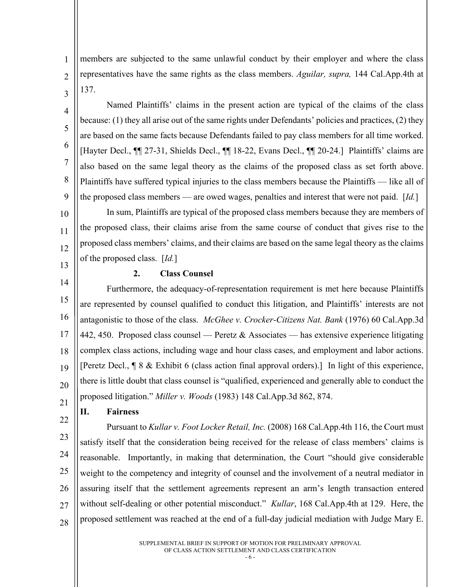members are subjected to the same unlawful conduct by their employer and where the class representatives have the same rights as the class members. *Aguilar, supra,* 144 Cal.App.4th at 137.

 $\mathbf Q$ Named Plaintiffs' claims in the present action are typical of the claims of the class because: (1) they all arise out of the same rights under Defendants' policies and practices, (2) they are based on the same facts because Defendants failed to pay class members for all time worked. [Hayter Decl., ¶¶ 27-31, Shields Decl., ¶¶ 18-22, Evans Decl., ¶¶ 20-24.] Plaintiffs' claims are also based on the same legal theory as the claims of the proposed class as set forth above. Plaintiffs have suffered typical injuries to the class members because the Plaintiffs — like all of the proposed class members — are owed wages, penalties and interest that were not paid. [*Id.*]

10 11 12 13 In sum, Plaintiffs are typical of the proposed class members because they are members of the proposed class, their claims arise from the same course of conduct that gives rise to the proposed class members' claims, and their claims are based on the same legal theory as the claims of the proposed class. [*Id.*]

14

1

 $\overline{2}$ 

3

4

5

6

7

8

# **2. Class Counsel**

15 16 17 18 19 20 21 Furthermore, the adequacy-of-representation requirement is met here because Plaintiffs are represented by counsel qualified to conduct this litigation, and Plaintiffs' interests are not antagonistic to those of the class. *McGhee v. Crocker-Citizens Nat. Bank* (1976) 60 Cal.App.3d 442, 450. Proposed class counsel — Peretz & Associates — has extensive experience litigating complex class actions, including wage and hour class cases, and employment and labor actions. [Peretz Decl., ¶ 8 & Exhibit 6 (class action final approval orders).] In light of this experience, there is little doubt that class counsel is "qualified, experienced and generally able to conduct the proposed litigation." *Miller v. Woods* (1983) 148 Cal.App.3d 862, 874.

#### **II. Fairness**

23 24 Pursuant to *Kullar v. Foot Locker Retail, Inc.* (2008) 168 Cal.App.4th 116, the Court must satisfy itself that the consideration being received for the release of class members' claims is reasonable. Importantly, in making that determination, the Court "should give considerable weight to the competency and integrity of counsel and the involvement of a neutral mediator in assuring itself that the settlement agreements represent an arm's length transaction entered without self-dealing or other potential misconduct." *Kullar*, 168 Cal.App.4th at 129.Here, the proposed settlement was reached at the end of a full-day judicial mediation with Judge Mary E.

> SUPPLEMENTAL BRIEF IN SUPPORT OF MOTION FOR PRELIMINARY APPROVAL OF CLASS ACTION SETTLEMENT AND CLASS CERTIFICATION - 6 -

25 26

22

27 28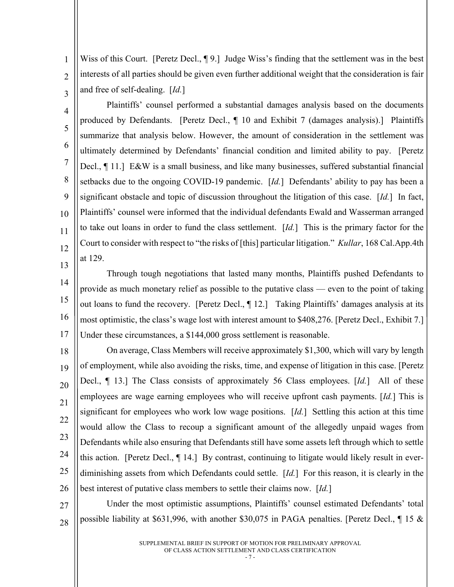1  $\overline{2}$ 3 Wiss of this Court. [Peretz Decl., 19.] Judge Wiss's finding that the settlement was in the best interests of all parties should be given even further additional weight that the consideration is fair and free of self-dealing. [*Id.*]

4 5 6 7 8 9 10 11 12 Plaintiffs' counsel performed a substantial damages analysis based on the documents produced by Defendants. [Peretz Decl., ¶ 10 and Exhibit 7 (damages analysis).] Plaintiffs summarize that analysis below. However, the amount of consideration in the settlement was ultimately determined by Defendants' financial condition and limited ability to pay. [Peretz Decl., ¶ 11.] E&W is a small business, and like many businesses, suffered substantial financial setbacks due to the ongoing COVID-19 pandemic. [*Id.*] Defendants' ability to pay has been a significant obstacle and topic of discussion throughout the litigation of this case. [*Id.*] In fact, Plaintiffs' counsel were informed that the individual defendants Ewald and Wasserman arranged to take out loans in order to fund the class settlement. [*Id.*] This is the primary factor for the Court to consider with respect to "the risks of [this] particular litigation." *Kullar*, 168 Cal.App.4th at 129.

13 14

15

16

17

Through tough negotiations that lasted many months, Plaintiffs pushed Defendants to provide as much monetary relief as possible to the putative class — even to the point of taking out loans to fund the recovery. [Peretz Decl., ¶ 12.] Taking Plaintiffs' damages analysis at its most optimistic, the class's wage lost with interest amount to \$408,276. [Peretz Decl., Exhibit 7.] Under these circumstances, a \$144,000 gross settlement is reasonable.

18 19 20 21 22 23 24 25 26 On average, Class Members will receive approximately \$1,300, which will vary by length of employment, while also avoiding the risks, time, and expense of litigation in this case. [Peretz Decl., ¶ 13.] The Class consists of approximately 56 Class employees. [*Id.*] All of these employees are wage earning employees who will receive upfront cash payments. [*Id.*] This is significant for employees who work low wage positions. [*Id.*] Settling this action at this time would allow the Class to recoup a significant amount of the allegedly unpaid wages from Defendants while also ensuring that Defendants still have some assets left through which to settle this action. [Peretz Decl., ¶ 14.] By contrast, continuing to litigate would likely result in everdiminishing assets from which Defendants could settle. [*Id.*] For this reason, it is clearly in the best interest of putative class members to settle their claims now. [*Id.*]

27 28 Under the most optimistic assumptions, Plaintiffs' counsel estimated Defendants' total possible liability at \$631,996, with another \$30,075 in PAGA penalties. [Peretz Decl., ¶ 15 &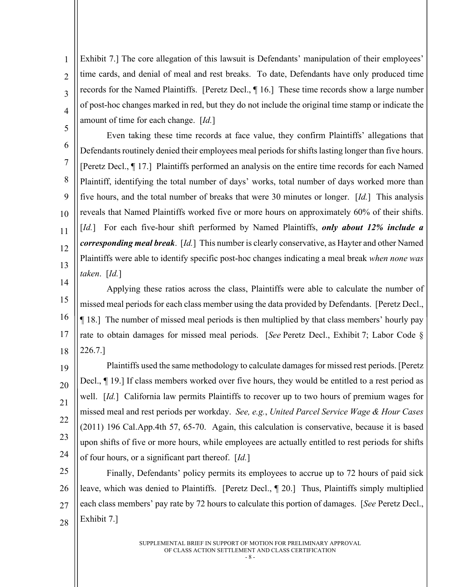Exhibit 7.] The core allegation of this lawsuit is Defendants' manipulation of their employees' time cards, and denial of meal and rest breaks. To date, Defendants have only produced time records for the Named Plaintiffs. [Peretz Decl., ¶ 16.] These time records show a large number of post-hoc changes marked in red, but they do not include the original time stamp or indicate the amount of time for each change. [*Id.*]

1

 $\overline{2}$ 

3

4

5

7

6 8 9 10 11 12 13 Even taking these time records at face value, they confirm Plaintiffs' allegations that Defendants routinely denied their employees meal periods for shifts lasting longer than five hours. [Peretz Decl., ¶ 17.] Plaintiffs performed an analysis on the entire time records for each Named Plaintiff, identifying the total number of days' works, total number of days worked more than five hours, and the total number of breaks that were 30 minutes or longer. [*Id.*] This analysis reveals that Named Plaintiffs worked five or more hours on approximately 60% of their shifts. [*Id.*] For each five-hour shift performed by Named Plaintiffs, *only about 12% include a corresponding meal break*. [*Id.*] This number is clearly conservative, as Hayter and other Named Plaintiffs were able to identify specific post-hoc changes indicating a meal break *when none was taken*. [*Id.*]

14 15 16 17 18 Applying these ratios across the class, Plaintiffs were able to calculate the number of missed meal periods for each class member using the data provided by Defendants. [Peretz Decl., ¶ 18.] The number of missed meal periods is then multiplied by that class members' hourly pay rate to obtain damages for missed meal periods. [*See* Peretz Decl., Exhibit 7; Labor Code § 226.7.]

19 20 21 22 23 24 Plaintiffs used the same methodology to calculate damages for missed rest periods. [Peretz Decl., ¶ 19.] If class members worked over five hours, they would be entitled to a rest period as well. [*Id.*] California law permits Plaintiffs to recover up to two hours of premium wages for missed meal and rest periods per workday. *See, e.g.*, *United Parcel Service Wage & Hour Cases* (2011) 196 Cal.App.4th 57, 65-70. Again, this calculation is conservative, because it is based upon shifts of five or more hours, while employees are actually entitled to rest periods for shifts of four hours, or a significant part thereof. [*Id.*]

25 26 27 28 Finally, Defendants' policy permits its employees to accrue up to 72 hours of paid sick leave, which was denied to Plaintiffs. [Peretz Decl., ¶ 20.] Thus, Plaintiffs simply multiplied each class members' pay rate by 72 hours to calculate this portion of damages. [*See* Peretz Decl., Exhibit 7.]

> SUPPLEMENTAL BRIEF IN SUPPORT OF MOTION FOR PRELIMINARY APPROVAL OF CLASS ACTION SETTLEMENT AND CLASS CERTIFICATION

- 8 -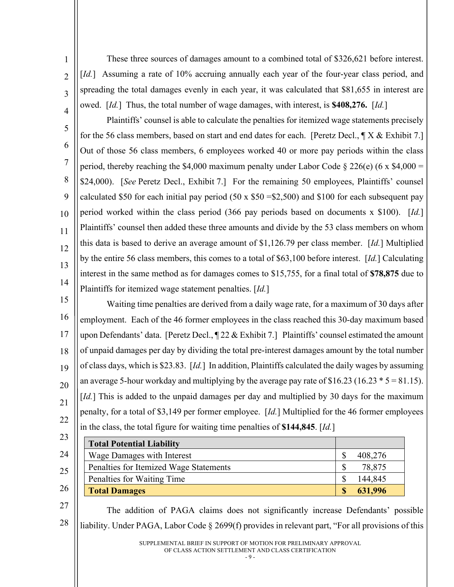These three sources of damages amount to a combined total of \$326,621 before interest. [*Id.*] Assuming a rate of 10% accruing annually each year of the four-year class period, and spreading the total damages evenly in each year, it was calculated that \$81,655 in interest are owed. [*Id.*] Thus, the total number of wage damages, with interest, is **\$408,276.** [*Id.*]

1

 $\overline{2}$ 

3

4

5 6 7 8  $\overline{Q}$ 10 11 12 13 14 Plaintiffs' counsel is able to calculate the penalties for itemized wage statements precisely for the 56 class members, based on start and end dates for each. [Peretz Decl.,  $\mathbb{T} X \&$  Exhibit 7.] Out of those 56 class members, 6 employees worked 40 or more pay periods within the class period, thereby reaching the \$4,000 maximum penalty under Labor Code  $\S 226(e)$  (6 x \$4,000 = \$24,000). [*See* Peretz Decl., Exhibit 7.] For the remaining 50 employees, Plaintiffs' counsel calculated \$50 for each initial pay period (50 x  $$50 = $2,500$ ) and \$100 for each subsequent pay period worked within the class period (366 pay periods based on documents x \$100). [*Id.*] Plaintiffs' counsel then added these three amounts and divide by the 53 class members on whom this data is based to derive an average amount of \$1,126.79 per class member. [*Id.*] Multiplied by the entire 56 class members, this comes to a total of \$63,100 before interest. [*Id.*] Calculating interest in the same method as for damages comes to \$15,755, for a final total of **\$78,875** due to Plaintiffs for itemized wage statement penalties. [*Id.*]

15 16 17 18 19 20 21 22 Waiting time penalties are derived from a daily wage rate, for a maximum of 30 days after employment. Each of the 46 former employees in the class reached this 30-day maximum based upon Defendants' data. [Peretz Decl., ¶ 22 & Exhibit 7.] Plaintiffs' counsel estimated the amount of unpaid damages per day by dividing the total pre-interest damages amount by the total number of class days, which is \$23.83. [*Id.*] In addition, Plaintiffs calculated the daily wages by assuming an average 5-hour workday and multiplying by the average pay rate of \$16.23 (16.23  $*$  5 = 81.15). [*Id.*] This is added to the unpaid damages per day and multiplied by 30 days for the maximum penalty, for a total of \$3,149 per former employee. [*Id.*] Multiplied for the 46 former employees in the class, the total figure for waiting time penalties of **\$144,845**. [*Id.*]

| 23 |                                        |         |
|----|----------------------------------------|---------|
|    | <b>Total Potential Liability</b>       |         |
| 24 | Wage Damages with Interest             | 408,276 |
| 25 | Penalties for Itemized Wage Statements | 78,875  |
|    | Penalties for Waiting Time             | 144,845 |
| 26 | <b>Total Damages</b>                   | 631,996 |

27 28 The addition of PAGA claims does not significantly increase Defendants' possible liability. Under PAGA, Labor Code § 2699(f) provides in relevant part, "For all provisions of this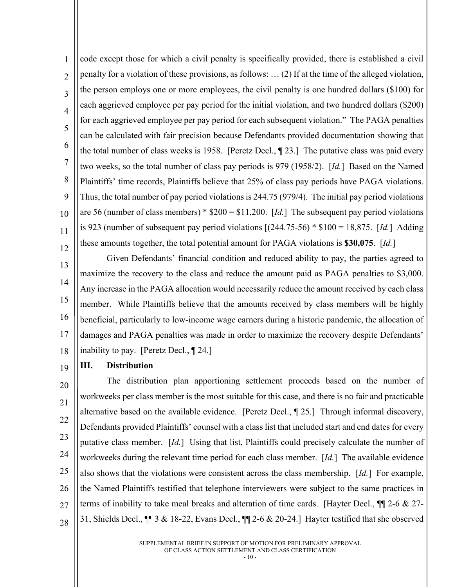1  $\overline{2}$ 3 4 5 6 7 8 9 10 11 12 code except those for which a civil penalty is specifically provided, there is established a civil penalty for a violation of these provisions, as follows: … (2) If at the time of the alleged violation, the person employs one or more employees, the civil penalty is one hundred dollars (\$100) for each aggrieved employee per pay period for the initial violation, and two hundred dollars (\$200) for each aggrieved employee per pay period for each subsequent violation." The PAGA penalties can be calculated with fair precision because Defendants provided documentation showing that the total number of class weeks is 1958. [Peretz Decl., ¶ 23.] The putative class was paid every two weeks, so the total number of class pay periods is 979 (1958/2). [*Id.*] Based on the Named Plaintiffs' time records, Plaintiffs believe that 25% of class pay periods have PAGA violations. Thus, the total number of pay period violations is 244.75 (979/4). The initial pay period violations are 56 (number of class members) \* \$200 = \$11,200. [*Id.*] The subsequent pay period violations is 923 (number of subsequent pay period violations [(244.75-56) \* \$100 = 18,875. [*Id.*] Adding these amounts together, the total potential amount for PAGA violations is **\$30,075**. [*Id.*]

13 14 15 16 17 18 Given Defendants' financial condition and reduced ability to pay, the parties agreed to maximize the recovery to the class and reduce the amount paid as PAGA penalties to \$3,000. Any increase in the PAGA allocation would necessarily reduce the amount received by each class member. While Plaintiffs believe that the amounts received by class members will be highly beneficial, particularly to low-income wage earners during a historic pandemic, the allocation of damages and PAGA penalties was made in order to maximize the recovery despite Defendants' inability to pay. [Peretz Decl., ¶ 24.]

#### 19 **III. Distribution**

20 21 22 23 24 25 26 27 28 The distribution plan apportioning settlement proceeds based on the number of workweeks per class member is the most suitable for this case, and there is no fair and practicable alternative based on the available evidence. [Peretz Decl., ¶ 25.] Through informal discovery, Defendants provided Plaintiffs' counsel with a class list that included start and end dates for every putative class member. [*Id.*] Using that list, Plaintiffs could precisely calculate the number of workweeks during the relevant time period for each class member. [*Id.*] The available evidence also shows that the violations were consistent across the class membership. [*Id.*] For example, the Named Plaintiffs testified that telephone interviewers were subject to the same practices in terms of inability to take meal breaks and alteration of time cards. [Hayter Decl., ¶¶ 2-6 & 27- 31, Shields Decl., ¶¶ 3 & 18-22, Evans Decl., ¶¶ 2-6 & 20-24.] Hayter testified that she observed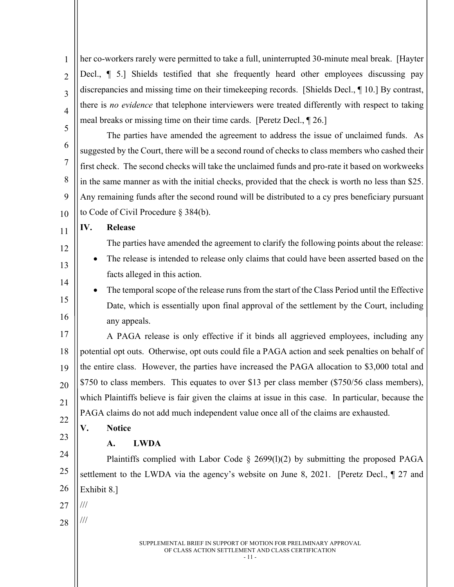1  $\mathcal{D}$ 3 4 5 her co-workers rarely were permitted to take a full, uninterrupted 30-minute meal break. [Hayter Decl., ¶ 5.] Shields testified that she frequently heard other employees discussing pay discrepancies and missing time on their timekeeping records. [Shields Decl., ¶ 10.] By contrast, there is *no evidence* that telephone interviewers were treated differently with respect to taking meal breaks or missing time on their time cards. [Peretz Decl., ¶ 26.]

6 7 8 9 10 The parties have amended the agreement to address the issue of unclaimed funds. As suggested by the Court, there will be a second round of checks to class members who cashed their first check. The second checks will take the unclaimed funds and pro-rate it based on workweeks in the same manner as with the initial checks, provided that the check is worth no less than \$25. Any remaining funds after the second round will be distributed to a cy pres beneficiary pursuant to Code of Civil Procedure § 384(b).

#### **IV. Release**

11

12

13

14

15

16

The parties have amended the agreement to clarify the following points about the release:

- The release is intended to release only claims that could have been asserted based on the facts alleged in this action.
- The temporal scope of the release runs from the start of the Class Period until the Effective Date, which is essentially upon final approval of the settlement by the Court, including any appeals.

17 18 19 20 21 22 A PAGA release is only effective if it binds all aggrieved employees, including any potential opt outs. Otherwise, opt outs could file a PAGA action and seek penalties on behalf of the entire class. However, the parties have increased the PAGA allocation to \$3,000 total and \$750 to class members. This equates to over \$13 per class member (\$750/56 class members), which Plaintiffs believe is fair given the claims at issue in this case. In particular, because the PAGA claims do not add much independent value once all of the claims are exhausted.

**V. Notice**

### **A. LWDA**

24 25 26 Plaintiffs complied with Labor Code § 2699(l)(2) by submitting the proposed PAGA settlement to the LWDA via the agency's website on June 8, 2021. [Peretz Decl., 1 27 and Exhibit 8.]

28 ///

///

27

23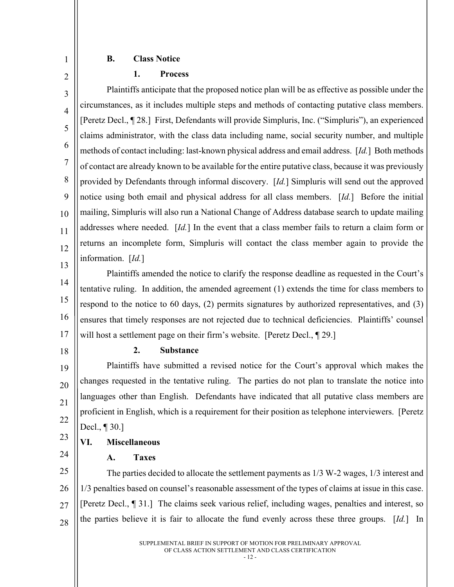## **B. Class Notice**

# **1. Process**

3 4 5 6 7 8 9 10 11 12 13 Plaintiffs anticipate that the proposed notice plan will be as effective as possible under the circumstances, as it includes multiple steps and methods of contacting putative class members. [Peretz Decl., ¶ 28.] First, Defendants will provide Simpluris, Inc. ("Simpluris"), an experienced claims administrator, with the class data including name, social security number, and multiple methods of contact including: last-known physical address and email address. [*Id.*] Both methods of contact are already known to be available for the entire putative class, because it was previously provided by Defendants through informal discovery. [*Id.*] Simpluris will send out the approved notice using both email and physical address for all class members. [*Id.*] Before the initial mailing, Simpluris will also run a National Change of Address database search to update mailing addresses where needed. [*Id.*] In the event that a class member fails to return a claim form or returns an incomplete form, Simpluris will contact the class member again to provide the information. [*Id.*]

14 15 16 17 Plaintiffs amended the notice to clarify the response deadline as requested in the Court's tentative ruling. In addition, the amended agreement (1) extends the time for class members to respond to the notice to 60 days, (2) permits signatures by authorized representatives, and (3) ensures that timely responses are not rejected due to technical deficiencies. Plaintiffs' counsel will host a settlement page on their firm's website. [Peretz Decl., 199.]

18

23

24

1

2

### **2. Substance**

19 20 21 22 Plaintiffs have submitted a revised notice for the Court's approval which makes the changes requested in the tentative ruling. The parties do not plan to translate the notice into languages other than English. Defendants have indicated that all putative class members are proficient in English, which is a requirement for their position as telephone interviewers. [Peretz Decl., ¶ 30.]

# **VI. Miscellaneous**

**A. Taxes**

25 26 27 28 The parties decided to allocate the settlement payments as 1/3 W-2 wages, 1/3 interest and 1/3 penalties based on counsel's reasonable assessment of the types of claims at issue in this case. [Peretz Decl., ¶ 31.] The claims seek various relief, including wages, penalties and interest, so the parties believe it is fair to allocate the fund evenly across these three groups. [*Id.*] In